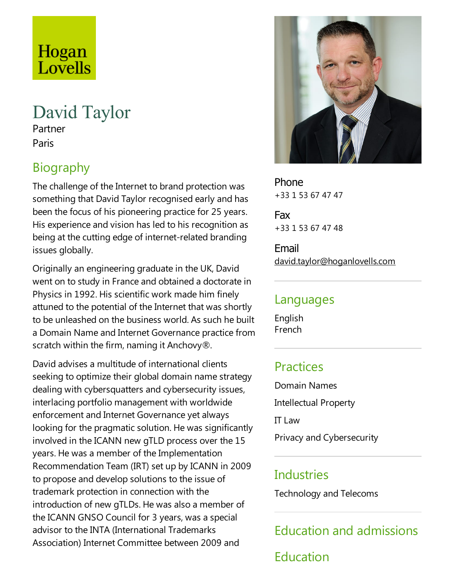# Hogan Lovells

# David Taylor

Partner Paris

# Biography

The challenge of the Internet to brand protection was something that David Taylor recognised early and has been the focus of his pioneering practice for 25 years. His experience and vision has led to his recognition as being at the cutting edge of internet-related branding issues globally.

Originally an engineering graduate in the UK, David went on to study in France and obtained a doctorate in Physics in 1992. His scientific work made him finely attuned to the potential of the Internet that was shortly to be unleashed on the business world. As such he built a Domain Name and Internet Governance practice from scratch within the firm, naming it Anchovy $\mathcal{R}$ .

David advises a multitude of international clients seeking to optimize their global domain name strategy dealing with cybersquatters and cybersecurity issues, interlacing portfolio management with worldwide enforcement and Internet Governance yet always looking for the pragmatic solution. He was significantly involved in the ICANN new gTLD process over the 15 years. He was a member of the Implementation Recommendation Team (IRT) set up by ICANN in 2009 to propose and develop solutions to the issue of trademark protection in connection with the introduction of new gTLDs. He was also a member of the ICANN GNSO Council for 3 years, was a special advisor to the INTA (International Trademarks Association) Internet Committee between 2009 and



Phone +33 1 53 67 47 47

Fax +33 1 53 67 47 48

Email david.taylor@hoganlovells.com

#### Languages

English French

# **Practices**

Domain Names Intellectual Property IT Law Privacy and Cybersecurity

# **Industries**

Technology and Telecoms

Education and admissions Education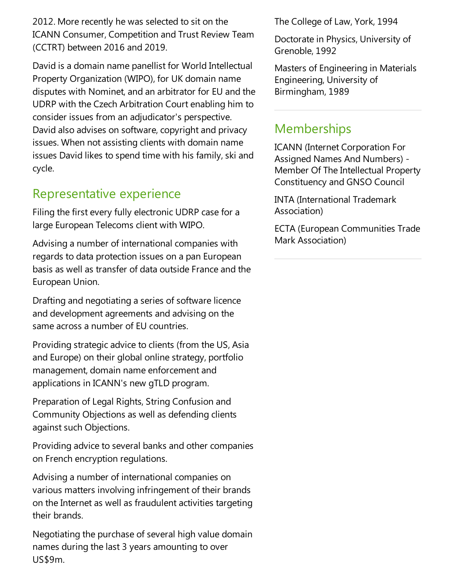2012. More recently he was selected to sit on the ICANN Consumer, Competition and Trust Review Team (CCTRT) between 2016 and 2019.

David is a domain name panellist for World Intellectual Property Organization (WIPO), for UK domain name disputes with Nominet, and an arbitrator for EU and the UDRP with the Czech Arbitration Court enabling him to consider issues from an adjudicator's perspective. David also advises on software, copyright and privacy issues. When not assisting clients with domain name issues David likes to spend time with his family, ski and cycle.

### Representative experience

Filing the first every fully electronic UDRP case for a large European Telecoms client with WIPO.

Advising a number of international companies with regards to data protection issues on a pan European basis as well as transfer of data outside France and the European Union.

Drafting and negotiating a series of software licence and development agreements and advising on the same across a number of EU countries.

Providing strategic advice to clients (from the US, Asia and Europe) on their global online strategy, portfolio management, domain name enforcement and applications in ICANN's new gTLD program.

Preparation of Legal Rights, String Confusion and Community Objections as well as defending clients against such Objections.

Providing advice to several banks and other companies on French encryption regulations.

Advising a number of international companies on various matters involving infringement of their brands on the Internet as well as fraudulent activities targeting their brands.

Negotiating the purchase of several high value domain names during the last 3 years amounting to over US\$9m.

The College of Law, York, 1994

Doctorate in Physics, University of Grenoble, 1992

Masters of Engineering in Materials Engineering, University of Birmingham, 1989

# **Memberships**

ICANN (Internet Corporation For Assigned Names And Numbers) - Member Of The Intellectual Property Constituency and GNSO Council

INTA (International Trademark Association)

ECTA (European Communities Trade Mark Association)